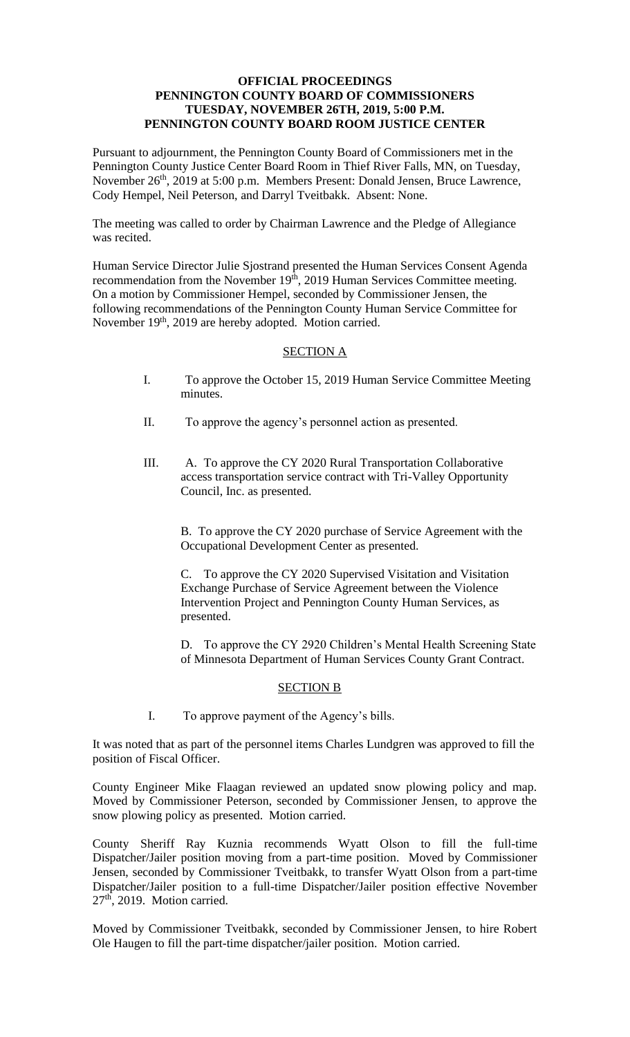## **OFFICIAL PROCEEDINGS PENNINGTON COUNTY BOARD OF COMMISSIONERS TUESDAY, NOVEMBER 26TH, 2019, 5:00 P.M. PENNINGTON COUNTY BOARD ROOM JUSTICE CENTER**

Pursuant to adjournment, the Pennington County Board of Commissioners met in the Pennington County Justice Center Board Room in Thief River Falls, MN, on Tuesday, November 26<sup>th</sup>, 2019 at 5:00 p.m. Members Present: Donald Jensen, Bruce Lawrence, Cody Hempel, Neil Peterson, and Darryl Tveitbakk. Absent: None.

The meeting was called to order by Chairman Lawrence and the Pledge of Allegiance was recited.

Human Service Director Julie Sjostrand presented the Human Services Consent Agenda recommendation from the November 19<sup>th</sup>, 2019 Human Services Committee meeting. On a motion by Commissioner Hempel, seconded by Commissioner Jensen, the following recommendations of the Pennington County Human Service Committee for November 19<sup>th</sup>, 2019 are hereby adopted. Motion carried.

## SECTION A

- I. To approve the October 15, 2019 Human Service Committee Meeting minutes.
- II. To approve the agency's personnel action as presented.
- III. A. To approve the CY 2020 Rural Transportation Collaborative access transportation service contract with Tri-Valley Opportunity Council, Inc. as presented.

B. To approve the CY 2020 purchase of Service Agreement with the Occupational Development Center as presented.

C. To approve the CY 2020 Supervised Visitation and Visitation Exchange Purchase of Service Agreement between the Violence Intervention Project and Pennington County Human Services, as presented.

D. To approve the CY 2920 Children's Mental Health Screening State of Minnesota Department of Human Services County Grant Contract.

## SECTION B

I. To approve payment of the Agency's bills.

It was noted that as part of the personnel items Charles Lundgren was approved to fill the position of Fiscal Officer.

County Engineer Mike Flaagan reviewed an updated snow plowing policy and map. Moved by Commissioner Peterson, seconded by Commissioner Jensen, to approve the snow plowing policy as presented. Motion carried.

County Sheriff Ray Kuznia recommends Wyatt Olson to fill the full-time Dispatcher/Jailer position moving from a part-time position. Moved by Commissioner Jensen, seconded by Commissioner Tveitbakk, to transfer Wyatt Olson from a part-time Dispatcher/Jailer position to a full-time Dispatcher/Jailer position effective November 27<sup>th</sup>, 2019. Motion carried.

Moved by Commissioner Tveitbakk, seconded by Commissioner Jensen, to hire Robert Ole Haugen to fill the part-time dispatcher/jailer position. Motion carried.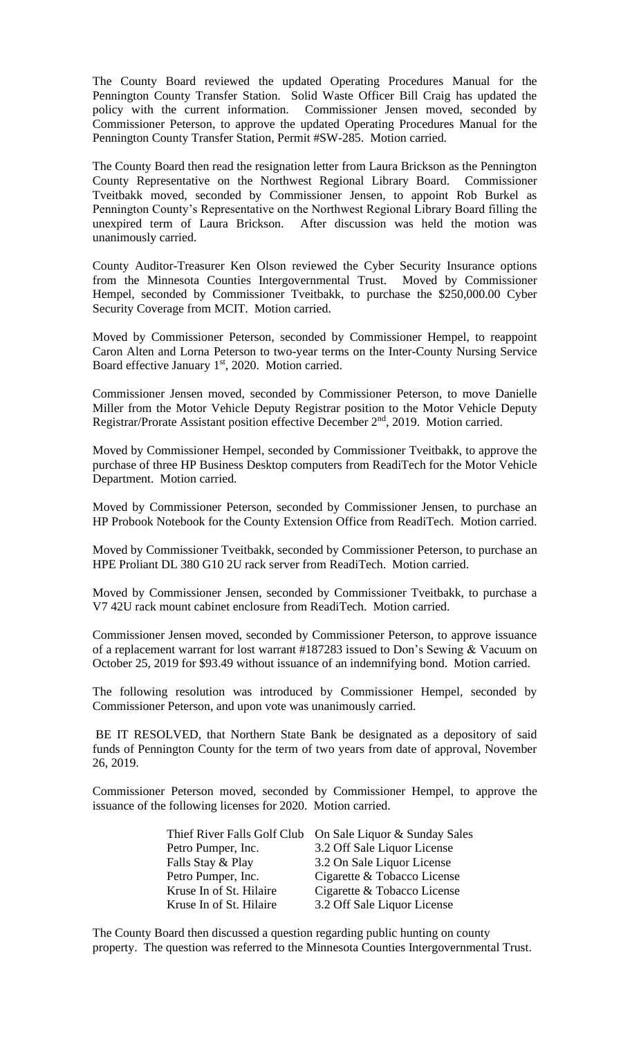The County Board reviewed the updated Operating Procedures Manual for the Pennington County Transfer Station. Solid Waste Officer Bill Craig has updated the policy with the current information. Commissioner Jensen moved, seconded by Commissioner Peterson, to approve the updated Operating Procedures Manual for the Pennington County Transfer Station, Permit #SW-285. Motion carried.

The County Board then read the resignation letter from Laura Brickson as the Pennington County Representative on the Northwest Regional Library Board. Commissioner Tveitbakk moved, seconded by Commissioner Jensen, to appoint Rob Burkel as Pennington County's Representative on the Northwest Regional Library Board filling the unexpired term of Laura Brickson. After discussion was held the motion was unanimously carried.

County Auditor-Treasurer Ken Olson reviewed the Cyber Security Insurance options from the Minnesota Counties Intergovernmental Trust. Moved by Commissioner Hempel, seconded by Commissioner Tveitbakk, to purchase the \$250,000.00 Cyber Security Coverage from MCIT. Motion carried.

Moved by Commissioner Peterson, seconded by Commissioner Hempel, to reappoint Caron Alten and Lorna Peterson to two-year terms on the Inter-County Nursing Service Board effective January 1<sup>st</sup>, 2020. Motion carried.

Commissioner Jensen moved, seconded by Commissioner Peterson, to move Danielle Miller from the Motor Vehicle Deputy Registrar position to the Motor Vehicle Deputy Registrar/Prorate Assistant position effective December 2<sup>nd</sup>, 2019. Motion carried.

Moved by Commissioner Hempel, seconded by Commissioner Tveitbakk, to approve the purchase of three HP Business Desktop computers from ReadiTech for the Motor Vehicle Department. Motion carried.

Moved by Commissioner Peterson, seconded by Commissioner Jensen, to purchase an HP Probook Notebook for the County Extension Office from ReadiTech. Motion carried.

Moved by Commissioner Tveitbakk, seconded by Commissioner Peterson, to purchase an HPE Proliant DL 380 G10 2U rack server from ReadiTech. Motion carried.

Moved by Commissioner Jensen, seconded by Commissioner Tveitbakk, to purchase a V7 42U rack mount cabinet enclosure from ReadiTech. Motion carried.

Commissioner Jensen moved, seconded by Commissioner Peterson, to approve issuance of a replacement warrant for lost warrant #187283 issued to Don's Sewing & Vacuum on October 25, 2019 for \$93.49 without issuance of an indemnifying bond. Motion carried.

The following resolution was introduced by Commissioner Hempel, seconded by Commissioner Peterson, and upon vote was unanimously carried.

BE IT RESOLVED, that Northern State Bank be designated as a depository of said funds of Pennington County for the term of two years from date of approval, November 26, 2019.

Commissioner Peterson moved, seconded by Commissioner Hempel, to approve the issuance of the following licenses for 2020. Motion carried.

| Thief River Falls Golf Club On Sale Liquor & Sunday Sales |
|-----------------------------------------------------------|
| 3.2 Off Sale Liquor License                               |
| 3.2 On Sale Liquor License                                |
| Cigarette & Tobacco License                               |
| Cigarette & Tobacco License                               |
| 3.2 Off Sale Liquor License                               |
|                                                           |

The County Board then discussed a question regarding public hunting on county property. The question was referred to the Minnesota Counties Intergovernmental Trust.